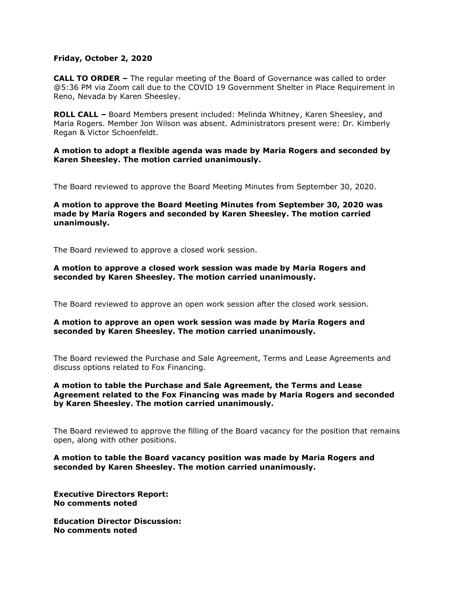### **Friday, October 2, 2020**

**CALL TO ORDER –** The regular meeting of the Board of Governance was called to order @5:36 PM via Zoom call due to the COVID 19 Government Shelter in Place Requirement in Reno, Nevada by Karen Sheesley.

**ROLL CALL –** Board Members present included: Melinda Whitney, Karen Sheesley, and Maria Rogers. Member Jon Wilson was absent. Administrators present were: Dr. Kimberly Regan & Victor Schoenfeldt.

**A motion to adopt a flexible agenda was made by Maria Rogers and seconded by Karen Sheesley. The motion carried unanimously.** 

The Board reviewed to approve the Board Meeting Minutes from September 30, 2020.

## **A motion to approve the Board Meeting Minutes from September 30, 2020 was made by Maria Rogers and seconded by Karen Sheesley. The motion carried unanimously.**

The Board reviewed to approve a closed work session.

#### **A motion to approve a closed work session was made by Maria Rogers and seconded by Karen Sheesley. The motion carried unanimously.**

The Board reviewed to approve an open work session after the closed work session.

#### **A motion to approve an open work session was made by Maria Rogers and seconded by Karen Sheesley. The motion carried unanimously.**

The Board reviewed the Purchase and Sale Agreement, Terms and Lease Agreements and discuss options related to Fox Financing.

# **A motion to table the Purchase and Sale Agreement, the Terms and Lease Agreement related to the Fox Financing was made by Maria Rogers and seconded by Karen Sheesley. The motion carried unanimously.**

The Board reviewed to approve the filling of the Board vacancy for the position that remains open, along with other positions.

## **A motion to table the Board vacancy position was made by Maria Rogers and seconded by Karen Sheesley. The motion carried unanimously.**

**Executive Directors Report: No comments noted**

**Education Director Discussion: No comments noted**